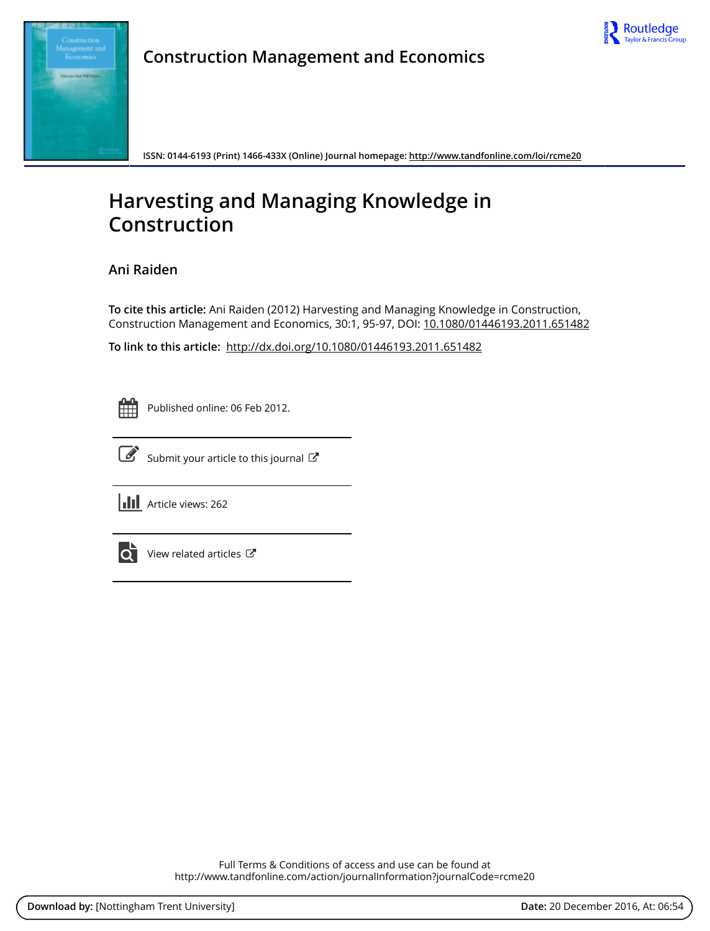

## **Construction Management and Economics**



**ISSN: 0144-6193 (Print) 1466-433X (Online) Journal homepage: <http://www.tandfonline.com/loi/rcme20>**

# **Harvesting and Managing Knowledge in Construction**

### **Ani Raiden**

**To cite this article:** Ani Raiden (2012) Harvesting and Managing Knowledge in Construction, Construction Management and Economics, 30:1, 95-97, DOI: [10.1080/01446193.2011.651482](http://www.tandfonline.com/action/showCitFormats?doi=10.1080/01446193.2011.651482)

**To link to this article:** <http://dx.doi.org/10.1080/01446193.2011.651482>



Published online: 06 Feb 2012.



 $\overrightarrow{S}$  [Submit your article to this journal](http://www.tandfonline.com/action/authorSubmission?journalCode=rcme20&show=instructions)  $\overrightarrow{S}$ 



 $\overrightarrow{Q}$  [View related articles](http://www.tandfonline.com/doi/mlt/10.1080/01446193.2011.651482)  $\overrightarrow{C}$ 

Full Terms & Conditions of access and use can be found at <http://www.tandfonline.com/action/journalInformation?journalCode=rcme20>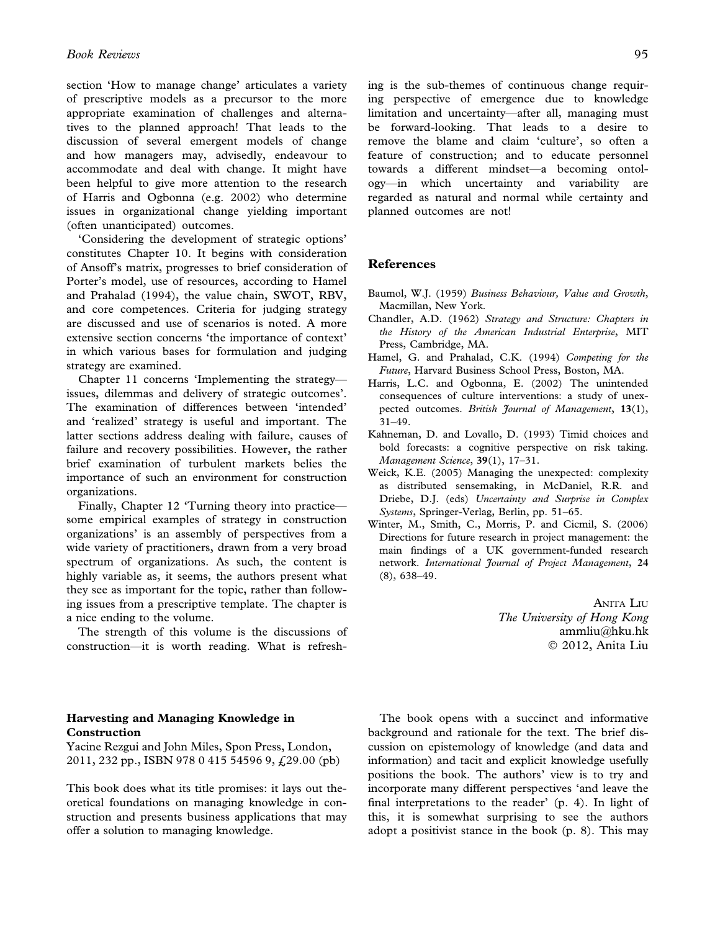section 'How to manage change' articulates a variety of prescriptive models as a precursor to the more appropriate examination of challenges and alternatives to the planned approach! That leads to the discussion of several emergent models of change and how managers may, advisedly, endeavour to accommodate and deal with change. It might have been helpful to give more attention to the research of Harris and Ogbonna (e.g. 2002) who determine issues in organizational change yielding important (often unanticipated) outcomes.

'Considering the development of strategic options' constitutes Chapter 10. It begins with consideration of Ansoff's matrix, progresses to brief consideration of Porter's model, use of resources, according to Hamel and Prahalad (1994), the value chain, SWOT, RBV, and core competences. Criteria for judging strategy are discussed and use of scenarios is noted. A more extensive section concerns 'the importance of context' in which various bases for formulation and judging strategy are examined.

Chapter 11 concerns 'Implementing the strategy issues, dilemmas and delivery of strategic outcomes'. The examination of differences between 'intended' and 'realized' strategy is useful and important. The latter sections address dealing with failure, causes of failure and recovery possibilities. However, the rather brief examination of turbulent markets belies the importance of such an environment for construction organizations.

Finally, Chapter 12 'Turning theory into practice some empirical examples of strategy in construction organizations' is an assembly of perspectives from a wide variety of practitioners, drawn from a very broad spectrum of organizations. As such, the content is highly variable as, it seems, the authors present what they see as important for the topic, rather than following issues from a prescriptive template. The chapter is a nice ending to the volume.

The strength of this volume is the discussions of construction—it is worth reading. What is refresh-

#### Harvesting and Managing Knowledge in Construction

Yacine Rezgui and John Miles, Spon Press, London, 2011, 232 pp., ISBN 978 0 415 54596 9, £29.00 (pb)

This book does what its title promises: it lays out theoretical foundations on managing knowledge in construction and presents business applications that may offer a solution to managing knowledge.

ing is the sub-themes of continuous change requiring perspective of emergence due to knowledge limitation and uncertainty—after all, managing must be forward-looking. That leads to a desire to remove the blame and claim 'culture', so often a feature of construction; and to educate personnel towards a different mindset—a becoming ontology—in which uncertainty and variability are regarded as natural and normal while certainty and

#### References

planned outcomes are not!

- Baumol, W.J. (1959) Business Behaviour, Value and Growth, Macmillan, New York.
- Chandler, A.D. (1962) Strategy and Structure: Chapters in the History of the American Industrial Enterprise, MIT Press, Cambridge, MA.
- Hamel, G. and Prahalad, C.K. (1994) Competing for the Future, Harvard Business School Press, Boston, MA.
- Harris, L.C. and Ogbonna, E. (2002) The unintended consequences of culture interventions: a study of unexpected outcomes. British Journal of Management, 13(1), 31–49.
- Kahneman, D. and Lovallo, D. (1993) Timid choices and bold forecasts: a cognitive perspective on risk taking. Management Science, 39(1), 17–31.
- Weick, K.E. (2005) Managing the unexpected: complexity as distributed sensemaking, in McDaniel, R.R. and Driebe, D.J. (eds) Uncertainty and Surprise in Complex Systems, Springer-Verlag, Berlin, pp. 51–65.
- Winter, M., Smith, C., Morris, P. and Cicmil, S. (2006) Directions for future research in project management: the main findings of a UK government-funded research network. International Journal of Project Management, 24 (8), 638–49.

ANITA LIU The University of Hong Kong ammliu@hku.hk 2012, Anita Liu

The book opens with a succinct and informative background and rationale for the text. The brief discussion on epistemology of knowledge (and data and information) and tacit and explicit knowledge usefully positions the book. The authors' view is to try and incorporate many different perspectives 'and leave the final interpretations to the reader' (p. 4). In light of this, it is somewhat surprising to see the authors adopt a positivist stance in the book (p. 8). This may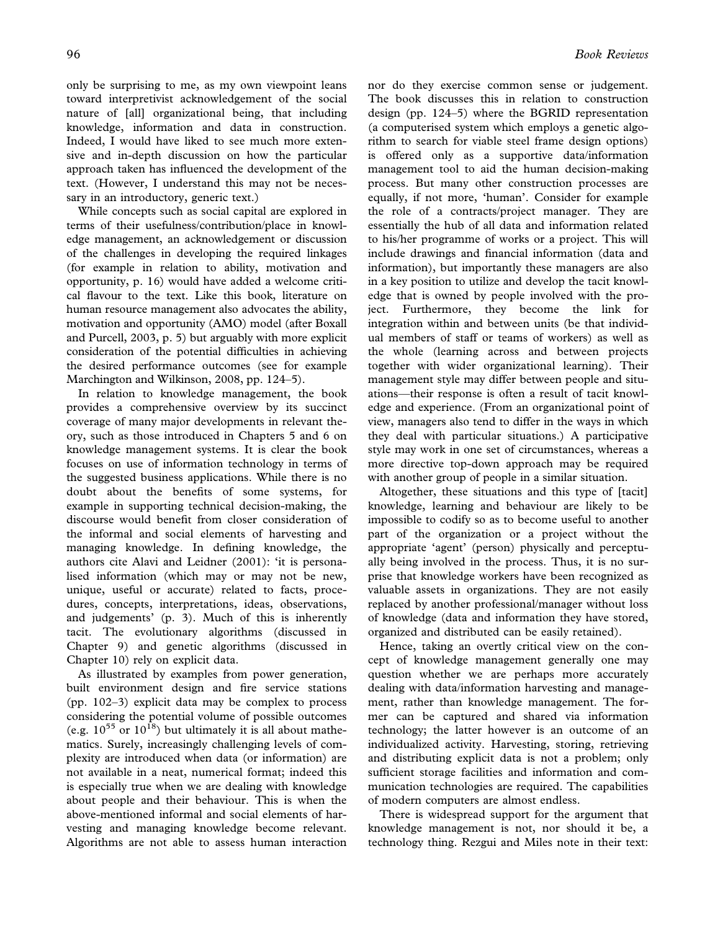only be surprising to me, as my own viewpoint leans toward interpretivist acknowledgement of the social nature of [all] organizational being, that including knowledge, information and data in construction. Indeed, I would have liked to see much more extensive and in-depth discussion on how the particular approach taken has influenced the development of the text. (However, I understand this may not be necessary in an introductory, generic text.)

While concepts such as social capital are explored in terms of their usefulness/contribution/place in knowledge management, an acknowledgement or discussion of the challenges in developing the required linkages (for example in relation to ability, motivation and opportunity, p. 16) would have added a welcome critical flavour to the text. Like this book, literature on human resource management also advocates the ability, motivation and opportunity (AMO) model (after Boxall and Purcell, 2003, p. 5) but arguably with more explicit consideration of the potential difficulties in achieving the desired performance outcomes (see for example Marchington and Wilkinson, 2008, pp. 124–5).

In relation to knowledge management, the book provides a comprehensive overview by its succinct coverage of many major developments in relevant theory, such as those introduced in Chapters 5 and 6 on knowledge management systems. It is clear the book focuses on use of information technology in terms of the suggested business applications. While there is no doubt about the benefits of some systems, for example in supporting technical decision-making, the discourse would benefit from closer consideration of the informal and social elements of harvesting and managing knowledge. In defining knowledge, the authors cite Alavi and Leidner (2001): 'it is personalised information (which may or may not be new, unique, useful or accurate) related to facts, procedures, concepts, interpretations, ideas, observations, and judgements' (p. 3). Much of this is inherently tacit. The evolutionary algorithms (discussed in Chapter 9) and genetic algorithms (discussed in Chapter 10) rely on explicit data.

As illustrated by examples from power generation, built environment design and fire service stations (pp. 102–3) explicit data may be complex to process considering the potential volume of possible outcomes (e.g.  $10^{55}$  or  $10^{18}$ ) but ultimately it is all about mathematics. Surely, increasingly challenging levels of complexity are introduced when data (or information) are not available in a neat, numerical format; indeed this is especially true when we are dealing with knowledge about people and their behaviour. This is when the above-mentioned informal and social elements of harvesting and managing knowledge become relevant. Algorithms are not able to assess human interaction nor do they exercise common sense or judgement. The book discusses this in relation to construction design (pp. 124–5) where the BGRID representation (a computerised system which employs a genetic algorithm to search for viable steel frame design options) is offered only as a supportive data/information management tool to aid the human decision-making process. But many other construction processes are equally, if not more, 'human'. Consider for example the role of a contracts/project manager. They are essentially the hub of all data and information related to his/her programme of works or a project. This will include drawings and financial information (data and information), but importantly these managers are also in a key position to utilize and develop the tacit knowledge that is owned by people involved with the project. Furthermore, they become the link for integration within and between units (be that individual members of staff or teams of workers) as well as the whole (learning across and between projects together with wider organizational learning). Their management style may differ between people and situations—their response is often a result of tacit knowledge and experience. (From an organizational point of view, managers also tend to differ in the ways in which they deal with particular situations.) A participative style may work in one set of circumstances, whereas a more directive top-down approach may be required with another group of people in a similar situation.

Altogether, these situations and this type of [tacit] knowledge, learning and behaviour are likely to be impossible to codify so as to become useful to another part of the organization or a project without the appropriate 'agent' (person) physically and perceptually being involved in the process. Thus, it is no surprise that knowledge workers have been recognized as valuable assets in organizations. They are not easily replaced by another professional/manager without loss of knowledge (data and information they have stored, organized and distributed can be easily retained).

Hence, taking an overtly critical view on the concept of knowledge management generally one may question whether we are perhaps more accurately dealing with data/information harvesting and management, rather than knowledge management. The former can be captured and shared via information technology; the latter however is an outcome of an individualized activity. Harvesting, storing, retrieving and distributing explicit data is not a problem; only sufficient storage facilities and information and communication technologies are required. The capabilities of modern computers are almost endless.

There is widespread support for the argument that knowledge management is not, nor should it be, a technology thing. Rezgui and Miles note in their text: